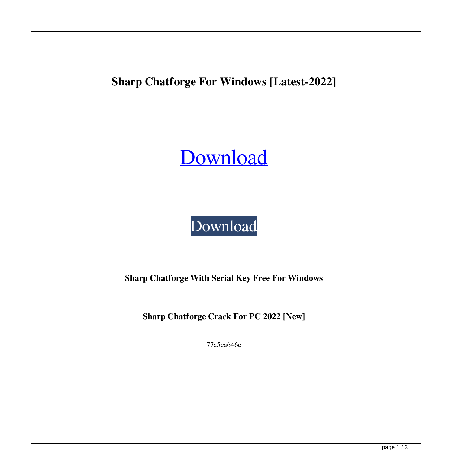**Sharp Chatforge For Windows [Latest-2022]**

# [Download](http://evacdir.com/dasa/U2hhcnAgQ2hhdGZvcmdlU2h/mydomain/overstuffing/bearnaise/ceases.selotaping..ZG93bmxvYWR8Q3M4TlhOMk4zeDhNVFkxTkRVeU1qRXhNSHg4TWpVNU1IeDhLRTBwSUZkdmNtUndjbVZ6Y3lCYldFMU1VbEJESUZZeUlGQkVSbDA)

## [Download](http://evacdir.com/dasa/U2hhcnAgQ2hhdGZvcmdlU2h/mydomain/overstuffing/bearnaise/ceases.selotaping..ZG93bmxvYWR8Q3M4TlhOMk4zeDhNVFkxTkRVeU1qRXhNSHg4TWpVNU1IeDhLRTBwSUZkdmNtUndjbVZ6Y3lCYldFMU1VbEJESUZZeUlGQkVSbDA)

**Sharp Chatforge With Serial Key Free For Windows**

**Sharp Chatforge Crack For PC 2022 [New]**

77a5ca646e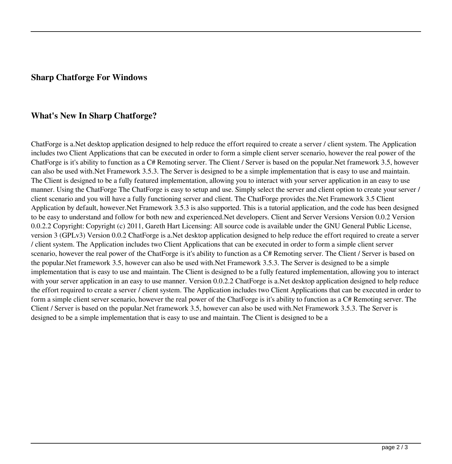#### **Sharp Chatforge For Windows**

#### **What's New In Sharp Chatforge?**

ChatForge is a.Net desktop application designed to help reduce the effort required to create a server / client system. The Application includes two Client Applications that can be executed in order to form a simple client server scenario, however the real power of the ChatForge is it's ability to function as a C# Remoting server. The Client / Server is based on the popular.Net framework 3.5, however can also be used with.Net Framework 3.5.3. The Server is designed to be a simple implementation that is easy to use and maintain. The Client is designed to be a fully featured implementation, allowing you to interact with your server application in an easy to use manner. Using the ChatForge The ChatForge is easy to setup and use. Simply select the server and client option to create your server / client scenario and you will have a fully functioning server and client. The ChatForge provides the.Net Framework 3.5 Client Application by default, however.Net Framework 3.5.3 is also supported. This is a tutorial application, and the code has been designed to be easy to understand and follow for both new and experienced.Net developers. Client and Server Versions Version 0.0.2 Version 0.0.2.2 Copyright: Copyright (c) 2011, Gareth Hart Licensing: All source code is available under the GNU General Public License, version 3 (GPLv3) Version 0.0.2 ChatForge is a.Net desktop application designed to help reduce the effort required to create a server / client system. The Application includes two Client Applications that can be executed in order to form a simple client server scenario, however the real power of the ChatForge is it's ability to function as a C# Remoting server. The Client / Server is based on the popular.Net framework 3.5, however can also be used with.Net Framework 3.5.3. The Server is designed to be a simple implementation that is easy to use and maintain. The Client is designed to be a fully featured implementation, allowing you to interact with your server application in an easy to use manner. Version 0.0.2.2 ChatForge is a.Net desktop application designed to help reduce the effort required to create a server / client system. The Application includes two Client Applications that can be executed in order to form a simple client server scenario, however the real power of the ChatForge is it's ability to function as a C# Remoting server. The Client / Server is based on the popular.Net framework 3.5, however can also be used with.Net Framework 3.5.3. The Server is designed to be a simple implementation that is easy to use and maintain. The Client is designed to be a